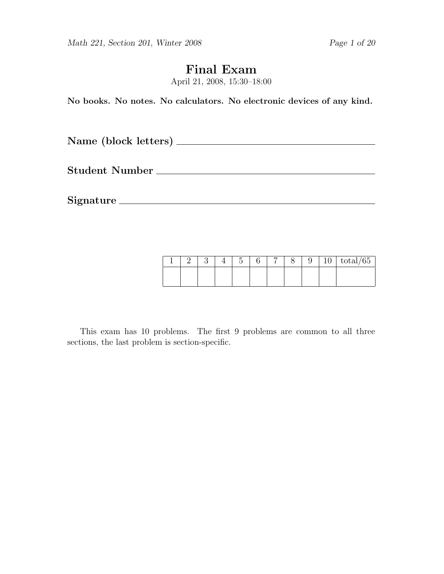# Final Exam

April 21, 2008, 15:30–18:00

No books. No notes. No calculators. No electronic devices of any kind.

Name (block letters)

Student Number

Signature

|  |  | $\tilde{\phantom{a}}$ | – | ◡ | ٠<br>ΙU | $\sqrt{2}$<br>total/65 |
|--|--|-----------------------|---|---|---------|------------------------|
|  |  |                       |   |   |         |                        |

This exam has 10 problems. The first 9 problems are common to all three sections, the last problem is section-specific.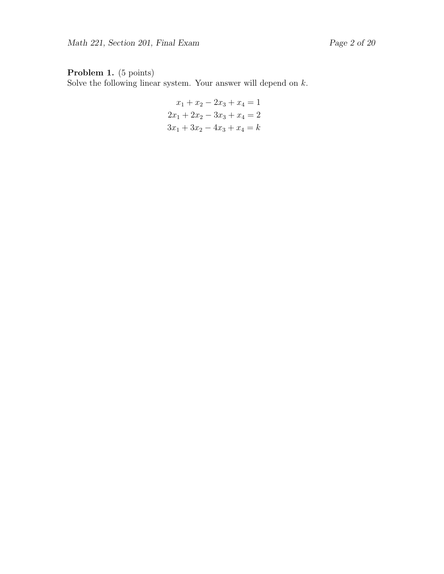# Problem 1. (5 points)

Solve the following linear system. Your answer will depend on  $k$ .

$$
x_1 + x_2 - 2x_3 + x_4 = 1
$$
  

$$
2x_1 + 2x_2 - 3x_3 + x_4 = 2
$$
  

$$
3x_1 + 3x_2 - 4x_3 + x_4 = k
$$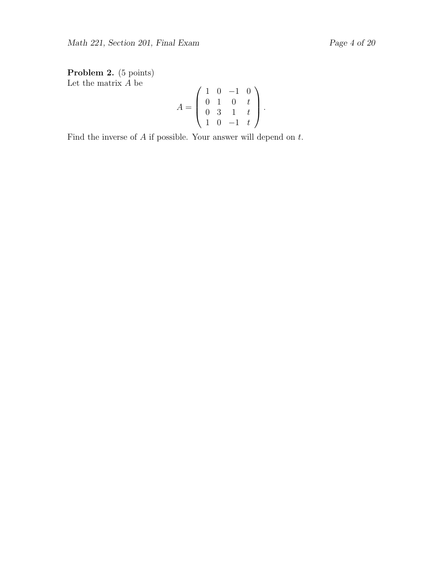Problem 2. (5 points) Let the matrix  $A$  be

$$
A = \left(\begin{array}{rrr} 1 & 0 & -1 & 0 \\ 0 & 1 & 0 & t \\ 0 & 3 & 1 & t \\ 1 & 0 & -1 & t \end{array}\right).
$$

Find the inverse of  $A$  if possible. Your answer will depend on  $t$ .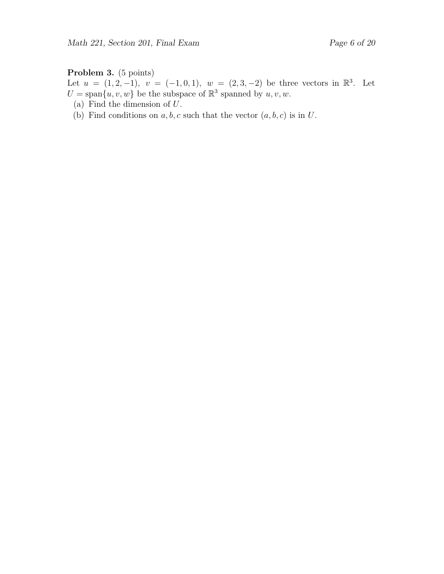### Problem 3. (5 points)

Let  $u = (1, 2, -1), v = (-1, 0, 1), w = (2, 3, -2)$  be three vectors in  $\mathbb{R}^3$ . Let  $U = \text{span}\{u, v, w\}$  be the subspace of  $\mathbb{R}^3$  spanned by  $u, v, w$ .

- (a) Find the dimension of U.
- (b) Find conditions on  $a, b, c$  such that the vector  $(a, b, c)$  is in U.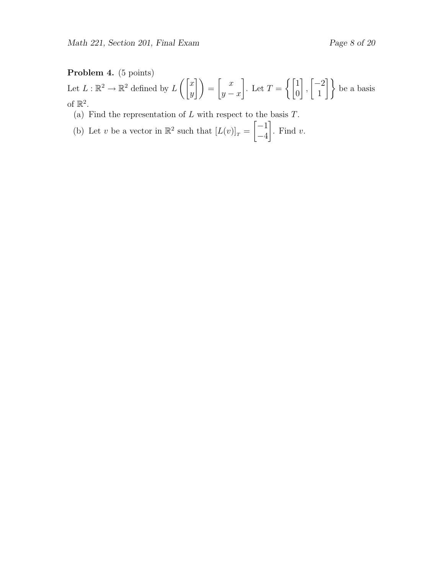## Problem 4. (5 points)

Let  $L : \mathbb{R}^2 \to \mathbb{R}^2$  defined by  $L\left(\begin{bmatrix} x \\ y \end{bmatrix}\right)$  $\begin{pmatrix} x \ y \end{pmatrix} = \begin{pmatrix} x \ y \end{pmatrix}$  $y - x$ 1 . Let  $T = \begin{cases} 1 & \text{if } \\ 0 & \text{otherwise} \end{cases}$  $\overline{0}$ 1 ,  $\lceil -2 \rceil$  $\begin{bmatrix} -2 \\ 1 \end{bmatrix}$  be a basis of  $\mathbb{R}^2$ .

- (a) Find the representation of  $L$  with respect to the basis  $T$ .
- (b) Let v be a vector in  $\mathbb{R}^2$  such that  $[L(v)]_T =$  $[-1]$ −4 1 . Find  $v$ .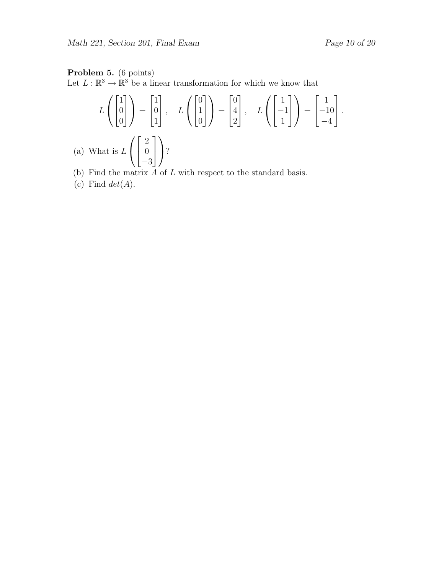#### Problem 5. (6 points)

Let  $L : \mathbb{R}^3 \to \mathbb{R}^3$  be a linear transformation for which we know that

$$
L\left(\begin{bmatrix} 1 \\ 0 \\ 0 \end{bmatrix}\right) = \begin{bmatrix} 1 \\ 0 \\ 1 \end{bmatrix}, \quad L\left(\begin{bmatrix} 0 \\ 1 \\ 0 \end{bmatrix}\right) = \begin{bmatrix} 0 \\ 4 \\ 2 \end{bmatrix}, \quad L\left(\begin{bmatrix} 1 \\ -1 \\ 1 \end{bmatrix}\right) = \begin{bmatrix} 1 \\ -10 \\ -4 \end{bmatrix}.
$$
  
What is  $L\left(\begin{bmatrix} 2 \\ 0 \\ -3 \end{bmatrix}\right)$ ?

- (b) Find the matrix  $A$  of  $L$  with respect to the standard basis.
- (c) Find  $det(A)$ .

 $(a)$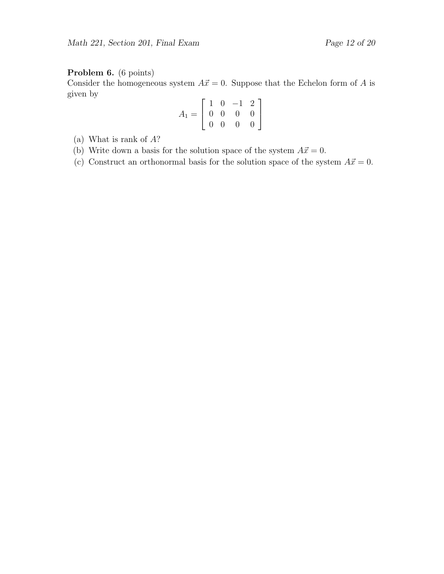# Problem 6. (6 points)

Consider the homogeneous system  $A\vec{x} = 0$ . Suppose that the Echelon form of A is given by

$$
A_1 = \left[ \begin{array}{rrr} 1 & 0 & -1 & 2 \\ 0 & 0 & 0 & 0 \\ 0 & 0 & 0 & 0 \end{array} \right]
$$

- (a) What is rank of A?
- (b) Write down a basis for the solution space of the system  $A\vec{x} = 0$ .
- (c) Construct an orthonormal basis for the solution space of the system  $A\vec{x} = 0$ .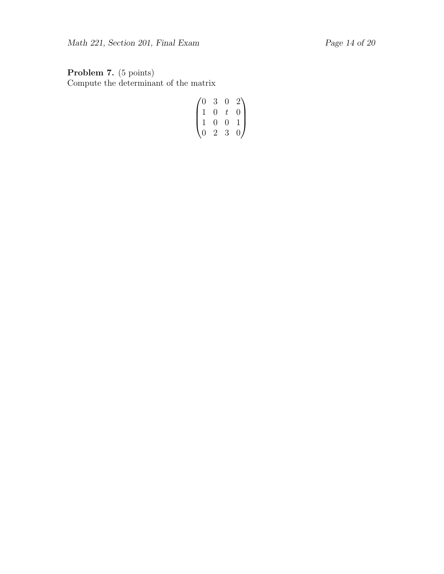Problem 7. (5 points) Compute the determinant of the matrix

$$
\begin{pmatrix} 0 & 3 & 0 & 2 \\ 1 & 0 & t & 0 \\ 1 & 0 & 0 & 1 \\ 0 & 2 & 3 & 0 \end{pmatrix}
$$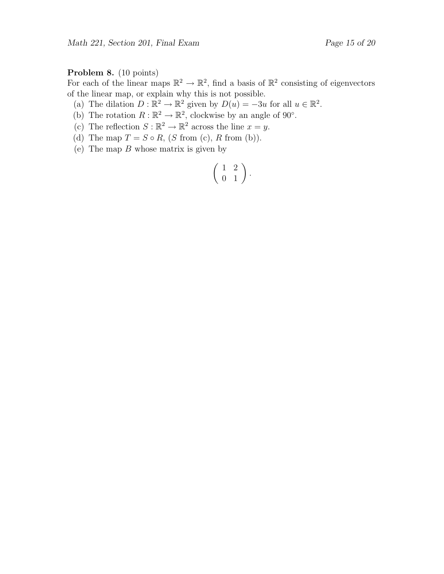### Problem 8. (10 points)

For each of the linear maps  $\mathbb{R}^2 \to \mathbb{R}^2$ , find a basis of  $\mathbb{R}^2$  consisting of eigenvectors of the linear map, or explain why this is not possible.

(a) The dilation  $D : \mathbb{R}^2 \to \mathbb{R}^2$  given by  $D(u) = -3u$  for all  $u \in \mathbb{R}^2$ .

- (b) The rotation  $R : \mathbb{R}^2 \to \mathbb{R}^2$ , clockwise by an angle of 90°.
- (c) The reflection  $S : \mathbb{R}^2 \to \mathbb{R}^2$  across the line  $x = y$ .
- (d) The map  $T = S \circ R$ ,  $(S \text{ from } (c), R \text{ from } (b)).$
- (e) The map  $B$  whose matrix is given by

$$
\left(\begin{array}{cc} 1 & 2 \\ 0 & 1 \end{array}\right).
$$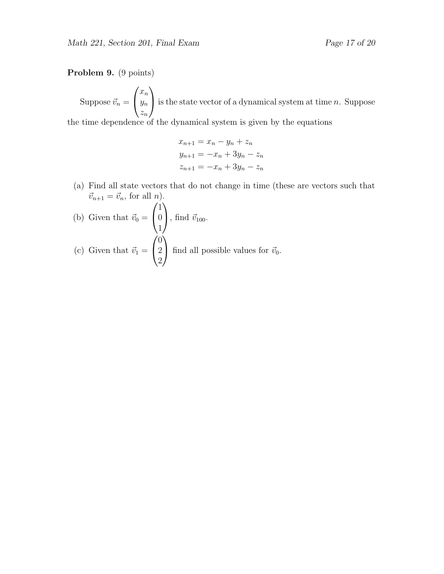#### Problem 9. (9 points)

Suppose  $\vec{v}_n =$  $\sqrt{ }$  $\mathcal{L}$  $\bar{x}_n$  $y_n$  $z_n$  $\setminus$ is the state vector of a dynamical system at time  $n$ . Suppose

the time dependence of the dynamical system is given by the equations

$$
x_{n+1} = x_n - y_n + z_n
$$
  
\n
$$
y_{n+1} = -x_n + 3y_n - z_n
$$
  
\n
$$
z_{n+1} = -x_n + 3y_n - z_n
$$

(a) Find all state vectors that do not change in time (these are vectors such that  $\vec{v}_{n+1} = \vec{v}_n$ , for all *n*).

(b) Given that 
$$
\vec{v}_0 = \begin{pmatrix} 1 \\ 0 \\ 1 \end{pmatrix}
$$
, find  $\vec{v}_{100}$ .  
\n(c) Given that  $\vec{v}_1 = \begin{pmatrix} 0 \\ 2 \\ 2 \end{pmatrix}$  find all possible values for  $\vec{v}_0$ .